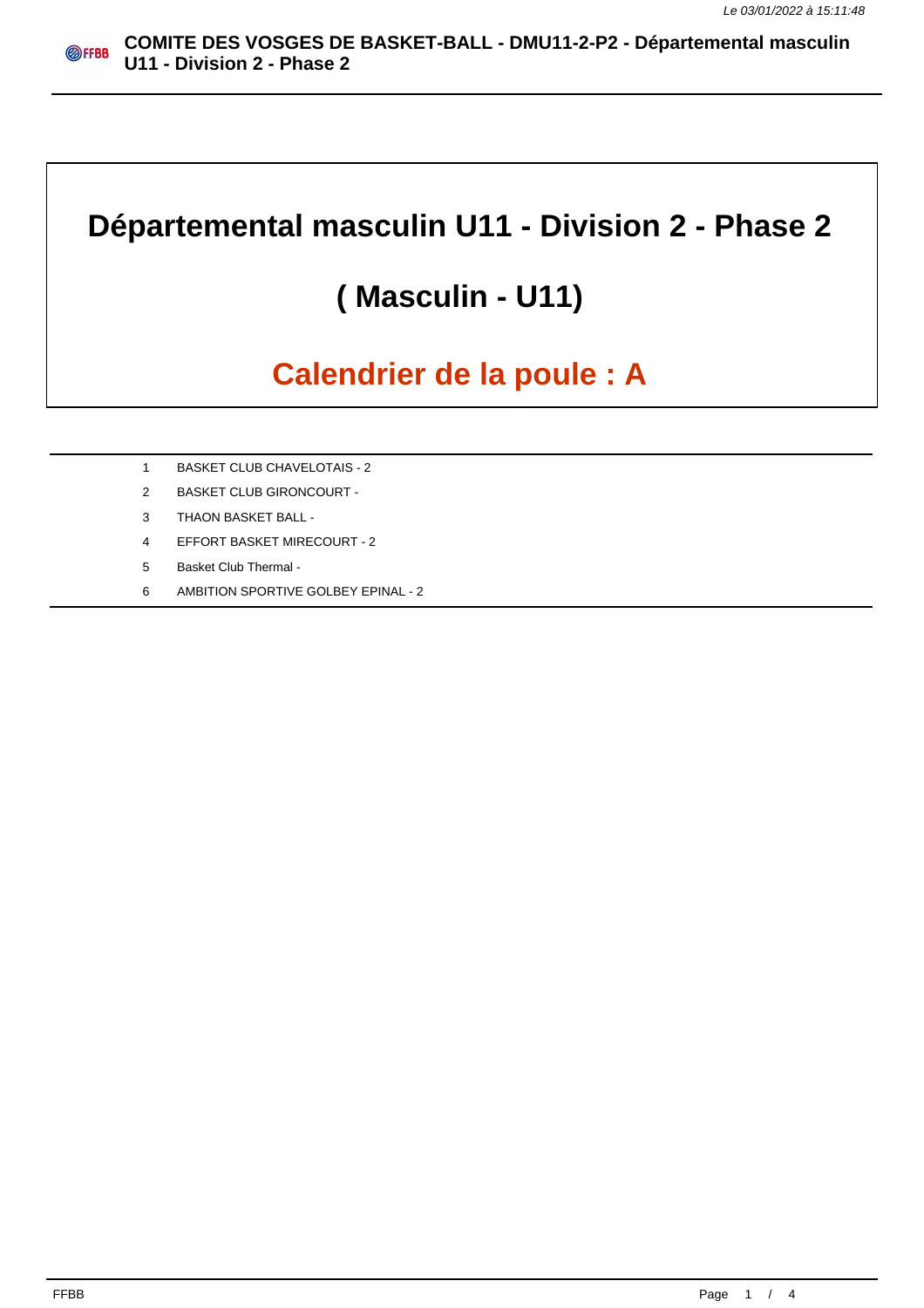# **Départemental masculin U11 - Division 2 - Phase 2**

# **( Masculin - U11)**

# **Calendrier de la poule : A**

- 1 BASKET CLUB CHAVELOTAIS 2
- 2 BASKET CLUB GIRONCOURT -
- 3 THAON BASKET BALL -
- 4 EFFORT BASKET MIRECOURT 2
- 5 Basket Club Thermal -
- 6 AMBITION SPORTIVE GOLBEY EPINAL 2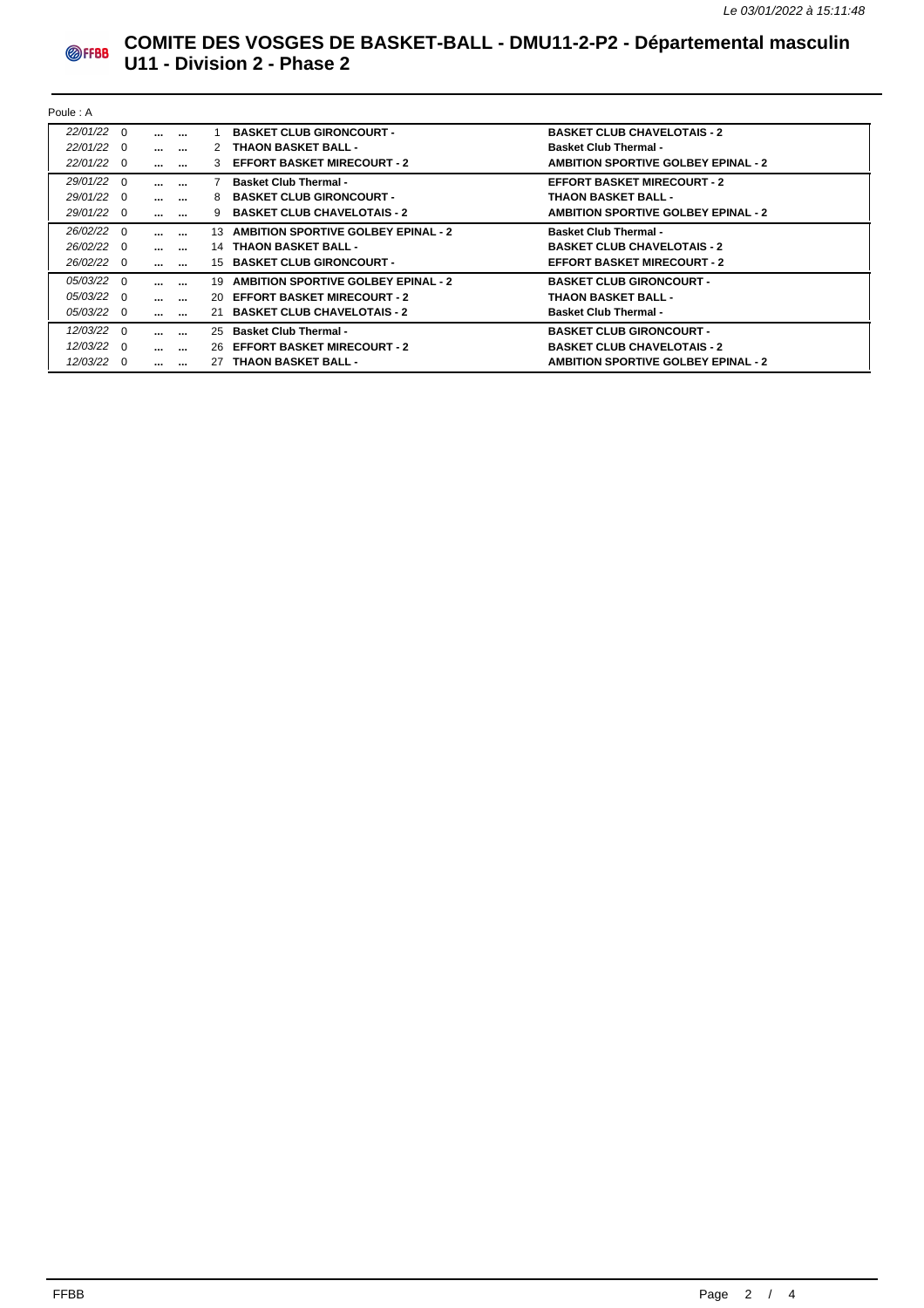

### **COMITE DES VOSGES DE BASKET-BALL - DMU11-2-P2 - Départemental masculin U11 - Division 2 - Phase 2**

| Poule: A       |     |                   |                          |    |                                            |                                            |  |  |
|----------------|-----|-------------------|--------------------------|----|--------------------------------------------|--------------------------------------------|--|--|
| $22/01/22$ 0   |     | $\cdots$          | $\cdots$                 |    | <b>BASKET CLUB GIRONCOURT -</b>            | <b>BASKET CLUB CHAVELOTAIS - 2</b>         |  |  |
| $22/01/22$ 0   |     | $\cdots$ $\cdots$ |                          |    | 2 THAON BASKET BALL -                      | <b>Basket Club Thermal -</b>               |  |  |
| 22/01/22 0     |     | $\cdots$ $\cdots$ |                          | 3  | <b>EFFORT BASKET MIRECOURT - 2</b>         | <b>AMBITION SPORTIVE GOLBEY EPINAL - 2</b> |  |  |
| 29/01/22 0     |     | $\cdots$          | $\cdots$                 |    | <b>Basket Club Thermal -</b>               | <b>EFFORT BASKET MIRECOURT - 2</b>         |  |  |
| 29/01/22 0     |     | $\cdots$          | $\sim$                   | 8  | <b>BASKET CLUB GIRONCOURT -</b>            | <b>THAON BASKET BALL -</b>                 |  |  |
| 29/01/22 0     |     | $\cdots$ $\cdots$ |                          |    | <b>BASKET CLUB CHAVELOTAIS - 2</b>         | <b>AMBITION SPORTIVE GOLBEY EPINAL - 2</b> |  |  |
| 26/02/22 0     |     | $\cdots$          | $\cdots$                 | 13 | <b>AMBITION SPORTIVE GOLBEY EPINAL - 2</b> | <b>Basket Club Thermal -</b>               |  |  |
| $26/02/22 \ 0$ |     | $\cdots$ $\cdots$ |                          | 14 | <b>THAON BASKET BALL -</b>                 | <b>BASKET CLUB CHAVELOTAIS - 2</b>         |  |  |
| 26/02/22 0     |     | $\sim$ $\sim$     | $\sim$                   |    | 15 BASKET CLUB GIRONCOURT -                | <b>EFFORT BASKET MIRECOURT - 2</b>         |  |  |
| $05/03/22$ 0   |     | $\cdots$          | $\overline{\phantom{a}}$ | 19 | <b>AMBITION SPORTIVE GOLBEY EPINAL - 2</b> | <b>BASKET CLUB GIRONCOURT -</b>            |  |  |
| $05/03/22$ 0   |     | $\cdots$ $\cdots$ |                          |    | 20 EFFORT BASKET MIRECOURT - 2             | <b>THAON BASKET BALL -</b>                 |  |  |
| 05/03/22 0     |     | $\cdots$ $\cdots$ |                          |    | 21 BASKET CLUB CHAVELOTAIS - 2             | <b>Basket Club Thermal -</b>               |  |  |
| $12/03/22$ 0   |     | $\cdots$          | $\cdots$                 |    | 25 Basket Club Thermal -                   | <b>BASKET CLUB GIRONCOURT -</b>            |  |  |
| $12/03/22$ 0   |     | $\cdots$          | $\sim$                   |    | 26 EFFORT BASKET MIRECOURT - 2             | <b>BASKET CLUB CHAVELOTAIS - 2</b>         |  |  |
| 12/03/22       | - 0 | $\cdots$          | $\cdots$                 |    | 27 THAON BASKET BALL -                     | <b>AMBITION SPORTIVE GOLBEY EPINAL - 2</b> |  |  |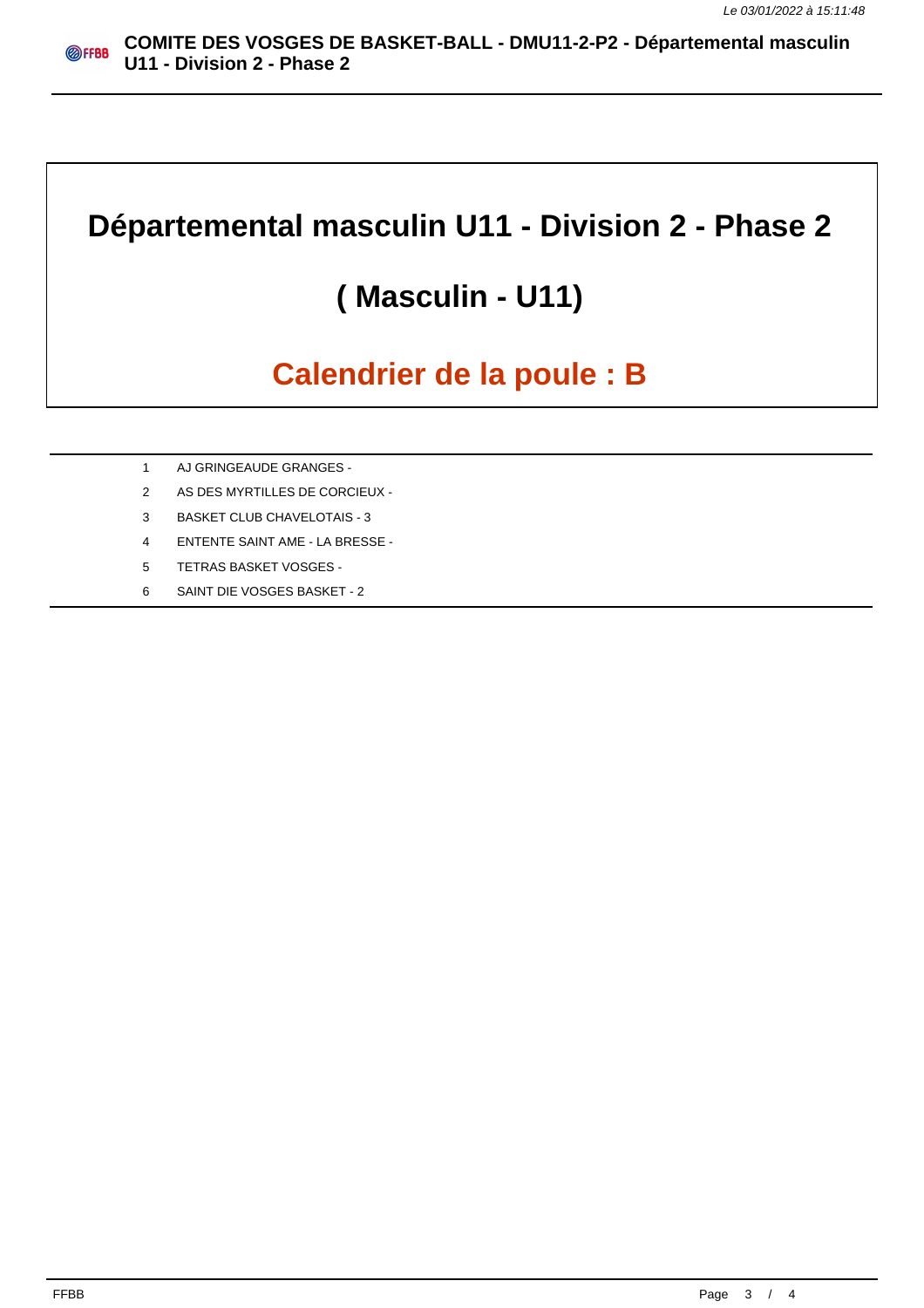### **Départemental masculin U11 - Division 2 - Phase 2**

# **( Masculin - U11)**

# **Calendrier de la poule : B**

- 1 AJ GRINGEAUDE GRANGES -
- 2 AS DES MYRTILLES DE CORCIEUX -
- 3 BASKET CLUB CHAVELOTAIS 3
- 4 ENTENTE SAINT AME LA BRESSE -
- 5 TETRAS BASKET VOSGES -
- 6 SAINT DIE VOSGES BASKET 2